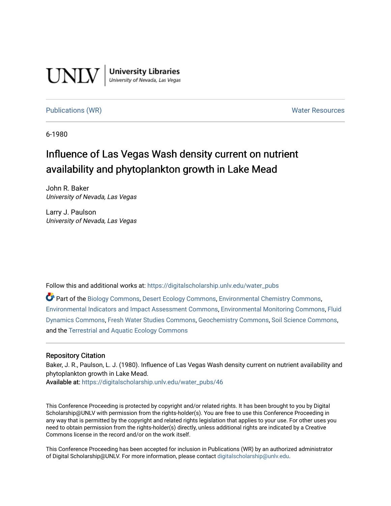

**University Libraries**<br>University of Nevada, Las Vegas

## [Publications \(WR\)](https://digitalscholarship.unlv.edu/water_pubs) Noter Resources

6-1980

# Influence of Las Vegas Wash density current on nutrient availability and phytoplankton growth in Lake Mead

John R. Baker University of Nevada, Las Vegas

Larry J. Paulson University of Nevada, Las Vegas

Follow this and additional works at: [https://digitalscholarship.unlv.edu/water\\_pubs](https://digitalscholarship.unlv.edu/water_pubs?utm_source=digitalscholarship.unlv.edu%2Fwater_pubs%2F46&utm_medium=PDF&utm_campaign=PDFCoverPages) 

Part of the [Biology Commons,](http://network.bepress.com/hgg/discipline/41?utm_source=digitalscholarship.unlv.edu%2Fwater_pubs%2F46&utm_medium=PDF&utm_campaign=PDFCoverPages) [Desert Ecology Commons](http://network.bepress.com/hgg/discipline/1261?utm_source=digitalscholarship.unlv.edu%2Fwater_pubs%2F46&utm_medium=PDF&utm_campaign=PDFCoverPages), [Environmental Chemistry Commons,](http://network.bepress.com/hgg/discipline/134?utm_source=digitalscholarship.unlv.edu%2Fwater_pubs%2F46&utm_medium=PDF&utm_campaign=PDFCoverPages) [Environmental Indicators and Impact Assessment Commons,](http://network.bepress.com/hgg/discipline/1015?utm_source=digitalscholarship.unlv.edu%2Fwater_pubs%2F46&utm_medium=PDF&utm_campaign=PDFCoverPages) [Environmental Monitoring Commons,](http://network.bepress.com/hgg/discipline/931?utm_source=digitalscholarship.unlv.edu%2Fwater_pubs%2F46&utm_medium=PDF&utm_campaign=PDFCoverPages) [Fluid](http://network.bepress.com/hgg/discipline/201?utm_source=digitalscholarship.unlv.edu%2Fwater_pubs%2F46&utm_medium=PDF&utm_campaign=PDFCoverPages)  [Dynamics Commons](http://network.bepress.com/hgg/discipline/201?utm_source=digitalscholarship.unlv.edu%2Fwater_pubs%2F46&utm_medium=PDF&utm_campaign=PDFCoverPages), [Fresh Water Studies Commons](http://network.bepress.com/hgg/discipline/189?utm_source=digitalscholarship.unlv.edu%2Fwater_pubs%2F46&utm_medium=PDF&utm_campaign=PDFCoverPages), [Geochemistry Commons](http://network.bepress.com/hgg/discipline/157?utm_source=digitalscholarship.unlv.edu%2Fwater_pubs%2F46&utm_medium=PDF&utm_campaign=PDFCoverPages), [Soil Science Commons](http://network.bepress.com/hgg/discipline/163?utm_source=digitalscholarship.unlv.edu%2Fwater_pubs%2F46&utm_medium=PDF&utm_campaign=PDFCoverPages), and the [Terrestrial and Aquatic Ecology Commons](http://network.bepress.com/hgg/discipline/20?utm_source=digitalscholarship.unlv.edu%2Fwater_pubs%2F46&utm_medium=PDF&utm_campaign=PDFCoverPages)

## Repository Citation

Baker, J. R., Paulson, L. J. (1980). Influence of Las Vegas Wash density current on nutrient availability and phytoplankton growth in Lake Mead.

Available at: [https://digitalscholarship.unlv.edu/water\\_pubs/46](https://digitalscholarship.unlv.edu/water_pubs/46) 

This Conference Proceeding is protected by copyright and/or related rights. It has been brought to you by Digital Scholarship@UNLV with permission from the rights-holder(s). You are free to use this Conference Proceeding in any way that is permitted by the copyright and related rights legislation that applies to your use. For other uses you need to obtain permission from the rights-holder(s) directly, unless additional rights are indicated by a Creative Commons license in the record and/or on the work itself.

This Conference Proceeding has been accepted for inclusion in Publications (WR) by an authorized administrator of Digital Scholarship@UNLV. For more information, please contact [digitalscholarship@unlv.edu.](mailto:digitalscholarship@unlv.edu)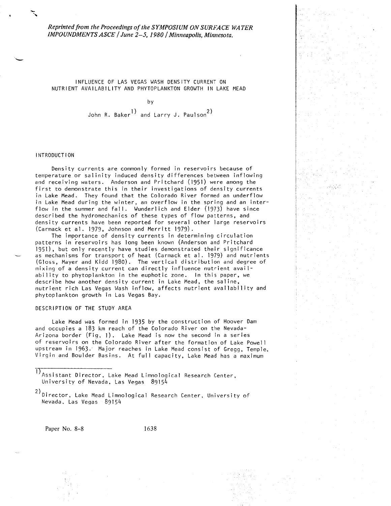*Reprinted from the Proceedings of the SYMPOSIUM ON SURFA CE WA TER IMPOUNDMENTS ASCE* / *June 2-5, 1980* / *Minneapolis, Minnesota.* 

INFLUENCE OF LAS VEGAS WASH DENSITY CURRENT ON NUTRIENT AVAILABILITY AND PHYTOPLANKTON GROWTH IN LAKE MEAD

by

John R. Baker<sup>1</sup> and Larry J. Paulson<sup>2</sup>)

## INTRODUCTION

Density currents are commonly formed in reservoirs because of temperature or salinity induced density differences between inflowing and receiving waters. Anderson and Pritchard (1951) were among the first to demonstrate this in their investigations of density currents in Lake Mead. They found that the Colorado River formed an underflow in Lake Mead during the winter, an overflow in the spring and an inter flow in the summer and fall. Wunderlich and Elder (1973) have since described the hydromechanics of these types of flow patterns, and density currents have been reported for several other large reservoirs (Carmack et al. 1979, Johnson and Merritt 1979).

The importance of density currents in determining circulation patterns in reservoirs has long been known (Anderson and Pritchard 1951), but only recently have studies demonstrated their significance as mechanisms for transport of heat (Carmack et al. 1979) and nutrients (Gloss, Mayer and Kidd 1980). The vertical distribution and degree of mixing of a density current can directly influence nutrient availability to phytoplankton in the euphotic zone. In this paper, we describe how another density current in Lake Mead, the saline, nutrient rich Las Vegas Wash inflow, affects nutrient availability and phytoplankton growth in Las Vegas Bay.

## DESCRIPTION OF THE STUDY AREA

Lake Mead was formed in 1935 by the construction of Hoover Dam and occupies a 183 km reach of the Colorado River on the Nevada- Arizona border (Fig. l). Lake Mead is now the second in a series of reservoirs on the Colorado River after the formation of Lake Powell upstream in 1963.' Major reaches in Lake Mead consist of Gregg, Temple, Virgin and Boulder Basins. At full capacity, Lake Mead has a maximum

Paper No. 8-8 1638

Assistant Director, Lake Mead Limnological Research Center, University of Nevada, Las Vegas  $89154$ 

<sup>2)</sup> Director, Lake Mead Limnological Research Center, University of Nevada, Las Vegas 89154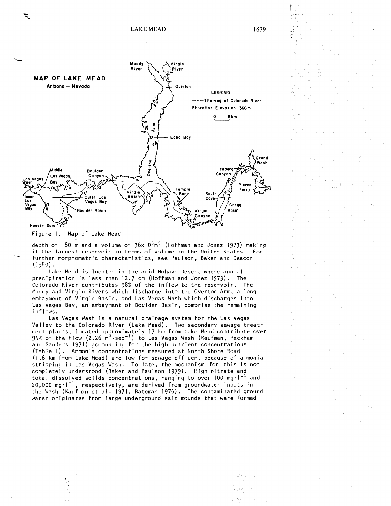

Figure 1. Map of Lake Mead

depth of 180 m and a volume of  $36 \times 10^9$  m<sup>3</sup> (Hoffman and Jonez 1973) making it the largest reservoir in terms of volume in the United States. For further morphometric characteristics, see Paulson, Baker and Deacon (1980).

Lake Mead is located in the arid Mohave Desert where annual precipitation is less than 12.7 cm (Hoffman and Jonez 1973). The Colorado River contributes 98% of the inflow to the reservoir. The Muddy and Virgin Rivers which discharge into the Overton Arm, a long embayment of Virgin Basin, and Las Vegas Wash which discharges into Las Vegas Bay, an embayment of Boulder Basin, comprise the remaining inflows.

Las Vegas Wash is a natural drainage system for the Las Vegas Valley to the Colorado River (Lake Mead). Two secondary sewage treatment plants, located approximately 17 km from Lake Mead contribute over 95% of the flow  $(2.26 \text{ m}^3\cdot \text{sec}^{-1})$  to Las Vegas Wash (Kaufman, Peckham and Sanders 1971) accounting for the high nutrient concentrations (Table 1). Ammonia concentrations measured at North Shore Road (1.6 km from Lake Mead) are low for sewage effluent because of ammonia stripping in Las Vegas Wash. To date, the mechanism for this is not completely understood (Baker and Paulson 1979). High nitrate and total dissolved solids concentrations, ranging to over  $100 \text{ mg} \cdot \text{I}^{-1}$  and  $20,000$  mg $^{-1}$ , respectively, are derived from groundwater inputs in the Wash (Kaufman et al. 1971, Bateman 1976). The contaminated ground water originates from large underground salt mounds that were formed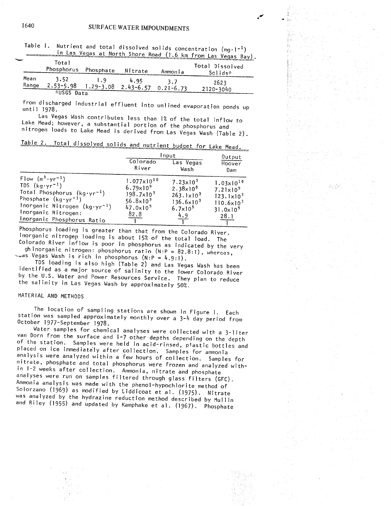| ∽ | <b>Example 10 of Contract Control</b> Control Case Vegas Bay). |                                           |           |         |               |                 |  |
|---|----------------------------------------------------------------|-------------------------------------------|-----------|---------|---------------|-----------------|--|
|   |                                                                | Total                                     |           |         |               | Total Dissolved |  |
|   |                                                                | Phosphorus                                | Phosphate | Nitrate | Ammonia       | Solids*         |  |
|   | Mean<br>Range                                                  | 3.52<br>$2.53 - 5.98$ 1.29-3.08 2.43-6.57 | 1.9       | 4.95    | 3.7           | 2623            |  |
|   |                                                                | *USGS Data                                |           |         | $0.21 - 6.73$ | $2120 - 3040$   |  |

Table 1. Nutrient and total dissolved solids concentration (mg-1)  $\frac{1}{10}$  Las Vegas at North Shore  $\frac{1}{10}$  (1.6 km from Las Vegas Bay)

from discharged industrial effluent into  $m!$ ;  $\ldots$ until 19

Las Vegas Wash contributes less than ]% of the total inflow to Lake Mead; however, a substantial portion of the phosphorus and nitrogen loads to Lake Mead is derived from Las Vegas Wash (Table 2).

| able 2. Total dissolved solids and nutrient budget for Lake Mead |  |  |
|------------------------------------------------------------------|--|--|
|                                                                  |  |  |

|                                                                                                                                                                                                                                   | Input                                                                                                                       |                                                                                                                              | Output                                                                                                                          |
|-----------------------------------------------------------------------------------------------------------------------------------------------------------------------------------------------------------------------------------|-----------------------------------------------------------------------------------------------------------------------------|------------------------------------------------------------------------------------------------------------------------------|---------------------------------------------------------------------------------------------------------------------------------|
|                                                                                                                                                                                                                                   | Colorado<br>River                                                                                                           | Las Vegas<br>Wash                                                                                                            | Hoover<br>Dam                                                                                                                   |
| Flow $(m^3 \cdot yr^{-1})$<br>TDS $(kq \cdot yr^{-1})$<br>Total Phosphorus $(kg \cdot yr^{-1})$<br>Phosphate $(kg \cdot yr^{-1})$<br>Inorganic Nitrogen $(kg \cdot yr^{-1})$<br>Inorganic Nitrogen:<br>Inorganic Phosphorus Ratio | $1.077 \times 10^{10}$<br>$6.79 \times 10^{9}$<br>$198.7 \times 10^3$<br>$56.8 \times 10^{3}$<br>$47.0 \times 10^5$<br>82.8 | $7.23 \times 10^{3}$<br>$2.38 \times 10^{8}$<br>$263.1 \times 10^{3}$<br>$136.6 \times 10^{3}$<br>$6.7 \times 10^{5}$<br>4.9 | $1.03 \times 10^{10}$<br>$7.21 \times 10^{9}$<br>$123.1 \times 10^{3}$<br>$110.6 \times 10^{3}$<br>$31.0 \times 10^{5}$<br>28.1 |

Phosphorus loading is greater than that from the Colorado River. Inorganic nitrogep loading is about 15% of the total load. The Colorado River inflow is poor in phosphorus as indicated by the very

ghinorganic nitrogen: phosphorus ratio  $(N:P = 82.8:1)$ , whereas,  $\sim$ as Vegas Wash is rich in phosphorus (N:P = 4.9:1).

TDS loading is also high (Table 2) and Las Vegas Wash has been identified as a major source of salinity to the lower Colorado River by the U.S. Water and Power Resources Service. They plan to reduce the salinity in Las Vegas Wash by approximately 50?.

## MATERIAL AND METHODS

The location of sampling stations are shown in Figure 1. Each station was sampled approximately monthly over a 3-4 day period from October 1977-September 1978.

Water samples for chemical analyses were collected with a 3-liter van Dorn from the surface and 1-7 other depths depending on the depth of the station. Samples were held in acid-rinsed, p'astic bottles and placed on ice immediately after collection. Samples for ammonia analysis were analyzed within a few hours of collection. Samples for nitrate, phosphate and total phosphorus were frozen and analyzed with in 1-2 weeks after collection. Ammonia, nitrate and phosphate analyses were run on samples filtered through glass filters (GFC). Ammonia analysis was made with the phenol-hypochlorite method of Solorzano (1969) as modified by Liddicoat et al. (1975). Nitrate was analyzed by the hydrazine reduction method described by Mullin and Riley (1955) and updated by Kamphake et al. (1967). Phosphate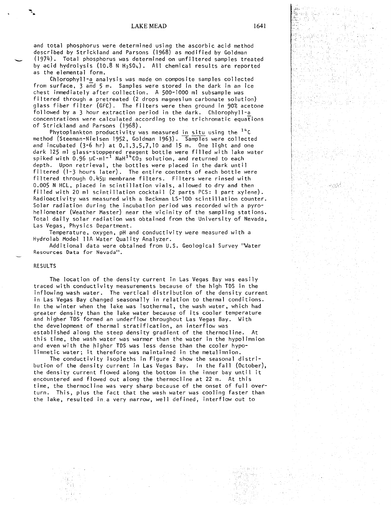and total phosphorus were determined using the ascorbic acid method described by Strickland and Parsons (1968) as modified by Goldman (1974). Total phosphorus was determined on unfiltered samples treated by acid hydrolysis  $(10.8 \text{ N H}_2\text{SO}_4)$ . All chemical results are reported as the elemental form.

Chlorophyl1-a\_ analysts was made on composite samples collected from surface, 3 and 5 m. Samples were stored in the dark in an ice chest immediately after collection. A 500-1000 ml subsample was filtered through a pretreated (2 drops magnesium carbonate solution) glass fiber filter (GFC). The filters were then ground in 90% acetone followed by a 3 hour extraction period in the dark. Chlorophyll-a concentrations were calculated according to the trichromatic equations of Strickland and Parsons (1968).

Phytoplankton productivity was measured in situ using the  $14^{\circ}C$ method (Steeman-Nielsen 1952, Goldman 1963). Samples were collected and incubated  $(3-6$  hr) at  $0,1,3,5,7,10$  and  $15$  m. One light and one dark 125 ml glass-stoppered reagent bottle were filled with lake water spiked with 0.96  $\mu$ C·ml<code>~1</code> NaH $^{1.4}$ CO $_{3}$  solution, and returned to each depth. Upon retrieval, the bottles were placed in the dark until filtered (1-3 hours later). The entire contents of each bottle were filtered through 0.45µ membrane filters. Filters were rinsed with 0.005 N HCL, placed in scintillation vials, allowed to dry and then filled with 20 ml scintillation cocktail (2 parts PCS: 1 part xylene). Radioactivity was measured with a Beckman  $LS-100$  scintillation counter. Solar radiation during the incubation period was recorded with a pyro heliometer (Weather Master) near the vicinity of the sampling stations. Total daily solar radiation was obtained from the University of Nevada, Las Vegas, Physics Department.

Temperature, oxygen, pH and conductivity were measured with a Hydrolab Mode-1 11A Water Quality Analyzer.

Additional data were obtained from U.S. Geological Survey "Water Resources Data for Nevada".

#### RESULTS

The location of the density current in Las Vegas Bay was easily traced with conductivity measurements because of the high TDS in the inflowing wash water. The vertical distribution of the density current in Las Vegas Bay changed seasonally in relation to thermal conditions. In the winter when the lake was isothermal, the wash water, which had greater density than the lake water because of its cooler temperature and higher TDS formed an underflow throughout Las Vegas Bay. With the development of thermal stratification, an interflow was established along the steep density gradient of the thermocline. At this time, the wash water was warmer than the water in the hypolimnion and even with the higher TDS was less dense than the cooler hypo limnetic water; it therefore was maintained in the metalimnion.

The conductivity isopleths in Figure 2 show the seasonal distribution of the density current in Las Vegas Bay. In the fall (October), the density current flowed along the bottom in the inner bay until it encountered and flowed out along the thermocline at 22 m. At this time, the thermocline was very sharp because of the onset of full overturn. This, plus the fact that the wash water was cooling faster than the lake, resulted in a very narrow, well defined, interflow out to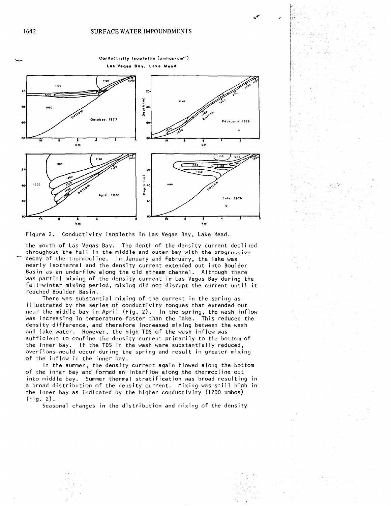

Figure 2. Conductivity isopleths in Las Vegas Bay, Lake Mead.

the mouth of Las Vegas Bay. The depth of the density current declined throughout the fall in the middle and outer bay with the progressive decay of the thermocline. In January and February, the lake was nearly isothermal and the density current extended out into Boulder Basin as an underflow along the old stream channel. Although there was partial mixing of the density current in Las Vegas Bay during the fall-winter mixing period, mixing did not disrupt the current until it reached Boulder Basin.

There was substantial mixing of the current in the spring as illustrated by the series of conductivity tongues that extended out near the middle bay in April (Fig. 2). In the spring, the wash inflow was increasing in temperature faster than the lake. This reduced the density difference, and therefore increased mixing between the wash and lake water. However, the high TDS of the wash inflow was sufficient to confine the density current primarily to the bottom of the inner bay. If the TDS in the wash were substantially reduced, overflows would occur during the spring and result in greater mixing of the inflow in the inner bay.

In the summer, the density current again flowed along the bottom of the inner bay and formed an interflow along the thermocline out into middle bay. Summer thermal stratification was broad resulting in a broad distribution of the density current. Mixing was still high in the inner bay as indicated by the higher conductivity (1200 ymhos) (Fig. 2).

Seasonal changes in the distribution and mixing of the density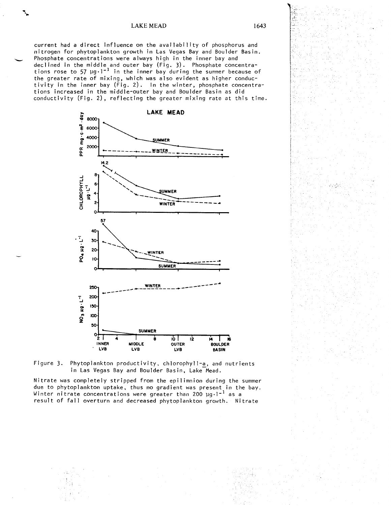## **LAKE MEAD**

conductivity (Fig. 2), reflecting the greater mixing rate at this time tions increased in the middle-outer bay and Boulder Basin as did In the second of the state of the state of the state of the state of the state of the state of the state of the state of the state of the state of the state of the state of the state of the state of the state of the state the greater rate of mixing, which was also evident as higher conduct tions rose to 57  $\mu$ g·1<sup>-1</sup> in the inner bay during the summer because Phosphate concentrations were always high in the inner bay and<br>declined in the middle and outer bay (Fig. 3). Phosphate concentra Phosphate concentrations were always high in the inner bay and nitrogen for phytoplankton growth in Las Vegas Bay and Boulder Basir current had a direct influence on the availability of phosphorus and a-<br>o<br>c-





winter nitrate concentrations were greater than 200 µg·i"" as a<br>result of fall overturn and decreased phytoplankton growth. Nit Nitrate was completely stripped from the epilimnion during th<br>due to phytoplankton uptake, thus no gradient was present in<br>Winter nitrate concentrations were greater than 200  $\mu$ g.<sup>1-1</sup> as<br>result of fall overturn and dec Nitrate was completely stripped from the epilimnion during the s tra<br>et:<br>nte rate was:<br>Fo nhvt: J O a n D — O OJ 3 J U ing the<br>nt in th<br>1-<sup>1</sup> 26 2 rthe<br><sub>I</sub>sa<br>Nit summe<br>e bay<br>trate

1643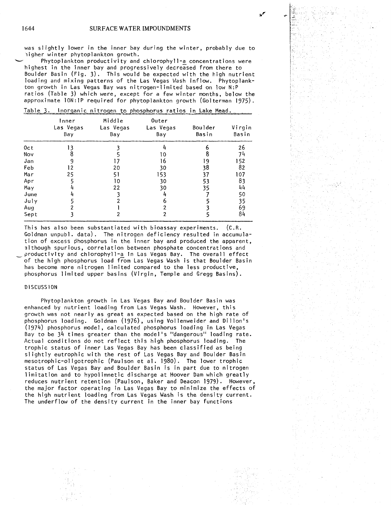was slightly lower in the inner bay during the winter, probably due to higher winter phytoplankton growth.

Phytoplankton productivity and chlorophyl1-a\_ concentrations were highest in the inner bay and progressively decreased from there to Boulder Basin (Fig. 3). This would be expected with the high nutrient loading and mixing patterns of the Las Vegas Wash inflow. Phytoplank ton growth in Las Vegas Bay was nitrogen-limited based on low N:P ratios (Table 3) which were, except for a few winter months, below the approximate 10N: 1P required for phytoplankton growth (Golterman 1975).

|      | Inner<br>Las Vegas<br>Bay | Middle<br>Las Vegas<br>Bay | Outer<br>Las Vegas<br>Bay | Boulder<br>Basin | Virgin<br>Basin |
|------|---------------------------|----------------------------|---------------------------|------------------|-----------------|
| 0ct  |                           |                            |                           |                  | 26              |
| Nov  |                           |                            | l O                       |                  | 74              |
| Jan  |                           |                            | 16                        | 19               | 152             |
| Feb  | 12                        | 20                         | 30                        | 38               | 82              |
| Mar  | 25                        | 51                         | 153                       | 37               | 107             |
| Apr  |                           | 10                         | 30                        | 53               | 83              |
| May  |                           | 22                         | 30                        | 35               | 44              |
| June |                           |                            |                           |                  | 50              |
| July |                           |                            | h                         |                  | 35              |
| Aug  |                           |                            |                           |                  | 69              |
| Sept |                           |                            | 2                         |                  | 84              |

Table 3. Inorganic nitrogen to phosphorus ratios in Lake Mead.

This has also been substantiated with bioassay experiments. (C.R. Goldman unpubl. data). The nitrogen deficiency resulted in accumula tion of excess phosphorus in the inner bay and produced the apparent, although spurious, correlation between phosphate concentrations and productivity and chlorophyll-a in Las Vegas Bay. The overall effect of the high phosphorus load from Las Vegas Wash is that Boulder Basin has become more nitrogen limited compared to the less productive, phosphorus limited upper basins (Virgin, Temple and Gregg Basins).

### DISCUSSION

Phytoplankton growth in Las Vegas Bay and Boulder Basin was enhanced by nutrient loading from Las Vegas Wash. However, this growth was not nearly as great as expected based on the high rate of phosphorus loading. Goldman (1976), using Vollenweider and Dillon's (1974) phosphorus model, calculated phosphorus loading in Las Vegas Bay to be 34 times greater than the model's "dangerous" loading rate. Actual conditions do not reflect this high phosphorus loading. The trophic status of inner Las Vegas Bay has been classified as being slightly eutrophic with the rest of Las Vegas Bay and Boulder Basin mesotrophic-oligotrophic (Paulson et al. 1980). The lower trophic status of Las Vegas Bay and Boulder Basin is in part due to nitrogen limitation and to hypolimnetic discharge at Hoover Dam which greatly reduces nutrient retention (Paulson, Baker and Deacon 1979). However, the major factor operating in Las Vegas Bay to minimize the effects of the high nutrient loading from Las Vegas Wash is the density current. The underflow of the density current in the inner bay functions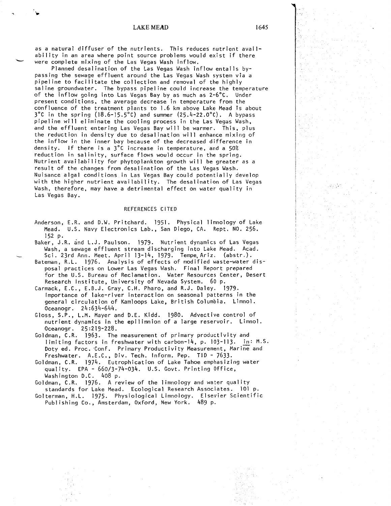as a natural diffuser of the nutrients. This reduces nutrient avail ability in an area where point source problems would exist if there were complete mixing of the Las Vegas Wash inflow.

Planned desalination of the Las Vegas Wash inflow entails by passing the sewage effluent around the Las Vegas Wash system via a pipeline to facilitate the collection and removal of the highly saline groundwater. The bypass pipeline could increase the temperature of the inflow going into Las Vegas Bay by as much as 2-6°C. Under present conditions, the average decrease in temperature from the confluence of the treatment plants to 1.6 km above Lake Mead is about  $3^{\circ}$ C in the spring (18.6-15.5°C) and summer (25.4-22.0°C). A bypass pipeline will eliminate the cooling process in the Las Vegas Wash, and the effluent entering Las Vegas Bay will be warmer. This, plus the reduction in density due to desalination will enhance mixing of the inflow in the inner bay because of the decreased difference in density. If there is a  $3^{\circ}$ C increase in temperature, and a 50% reduction in salinity, surface flows would occur in the spring. Nutrient availability for phytoplankton growth will be greater as a result of the changes from desalination of the Las Vegas Wash. Nuisance algal conditions in Las Vegas Bay could potentially develop with the higher nutrient availability. The desalination of Las Vegas Wash, therefore, may have a detrimental effect on water quality in Las Vegas Bay.

#### REFERENCES CITED

- Anderson, E.R. and D.W. Pritchard. 1951- Physical limnology of Lake Mead. U.S. Navy Electronics Lab., San Diego, CA. Rept. NO. 256. 152 p.
- Baker, J.R. and L.J. Paulson. 1979- Nutrient dynamics of Las Vegas Wash, a sewage effluent stream discharging into Lake Mead. Acad. Sci. 23rd Ann. Meet. April 13-14, 1979. Tempe Ariz. (abstr.).
- Bateman, R.L. 1976. Analysis of effects of modified waste-water dis posal practices on Lower Las Vegas Wash. Final Report prepared for the U.S. Bureau of Reclamation. Water Resources Center, Desert Research Institute, University of Nevada System. 60 p.
- Carmack, E.C., E.B.J. Gray, C.H. Pharo, and R.J. Daley. 1979- Importance of lake-river interaction on seasonal patterns in the general circulation of Kamloops Lake, British Columbia. Limnol.  $0$ ceanogr.  $24:634-644$ .
- Gloss, S.P., L.M. Mayer and D.E. Kidd. 1980. Advective control of nutrient dynamics in the epilimnion of a large reservoir. Limnol. Oceanogr. 25:219-228.
- Goldman, C.R. 1963. The measurement of primary productivity and limiting factors in freshwater with carbon-14, p.  $103-113$ . in: M.S. Doty ed. Proc. Conf. Primary Productivity Measurement, Marine and Freshwater. A.E.C., Div. Tech. Inform. Pep. TID - 7633-
- Goldman, C.R. 1974. Eutrophication of Lake Tahoe emphasizing water quality. EPA - 660/3-74-034. U.S. Govt. Printing Office, Washington D.C. 408 p.
- Goldman, C.R. 1976. A review of the limnology and water quality standards for Lake Mead. Ecological Research Associates. 101 p.
- Golterman, H.L. 1975. Physiological Limnology. Elsevier Scientific Publishing Co., Amsterdam, Oxford, New York. 489 p.